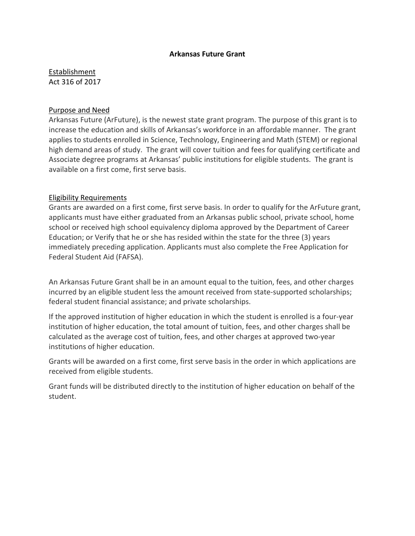## **Arkansas Future Grant**

Establishment Act 316 of 2017

## Purpose and Need

Arkansas Future (ArFuture), is the newest state grant program. The purpose of this grant is to increase the education and skills of Arkansas's workforce in an affordable manner. The grant applies to students enrolled in Science, Technology, Engineering and Math (STEM) or regional high demand areas of study. The grant will cover tuition and fees for qualifying certificate and Associate degree programs at Arkansas' public institutions for eligible students. The grant is available on a first come, first serve basis.

## Eligibility Requirements

Grants are awarded on a first come, first serve basis. In order to qualify for the ArFuture grant, applicants must have either graduated from an Arkansas public school, private school, home school or received high school equivalency diploma approved by the Department of Career Education; or Verify that he or she has resided within the state for the three (3) years immediately preceding application. Applicants must also complete the Free Application for Federal Student Aid (FAFSA).

An Arkansas Future Grant shall be in an amount equal to the tuition, fees, and other charges incurred by an eligible student less the amount received from state-supported scholarships; federal student financial assistance; and private scholarships.

If the approved institution of higher education in which the student is enrolled is a four-year institution of higher education, the total amount of tuition, fees, and other charges shall be calculated as the average cost of tuition, fees, and other charges at approved two-year institutions of higher education.

Grants will be awarded on a first come, first serve basis in the order in which applications are received from eligible students.

Grant funds will be distributed directly to the institution of higher education on behalf of the student.